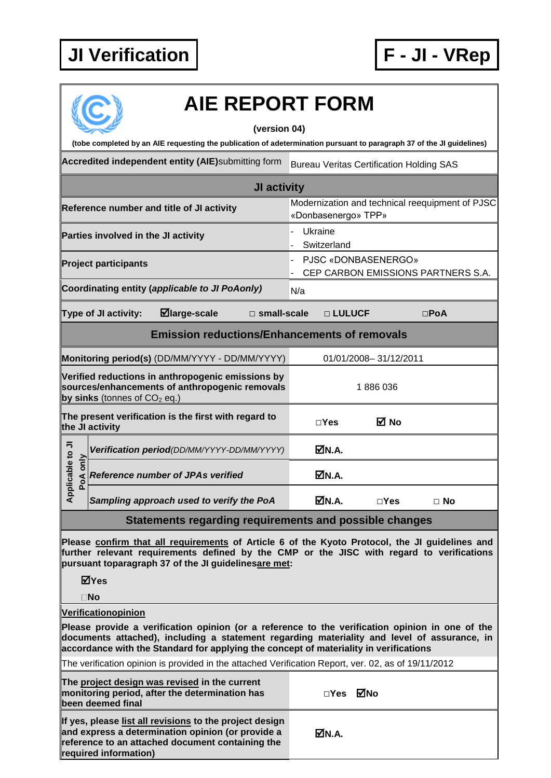## **JI Verification F - JI - VRep**



## **AIE REPORT FORM**

## **(version 04)**

**(tobe completed by an AIE requesting the publication of adetermination pursuant to paragraph 37 of the JI guidelines)** Accredited independent entity (AIE)submitting form Bureau Veritas Certification Holding SAS **JI activity Reference number and title of JI activity** Modernization and technical reequipment of PJSC «Donbasenergo» TPP» **Parties involved in the JI activity EXALL A RESE** 1 Ukraine **Switzerland Project participants Project participants** and the project participants **Project participants** CEP CARBON EMISSIONS PARTNERS S.A. **Coordinating entity (***applicable to JI PoAonly***) N/a Type of JI activity: large-scale □ small-scale □ LULUCF □PoA Emission reductions/Enhancements of removals Monitoring period(s)** (DD/MM/YYYY - DD/MM/YYYY) 01/01/2008-31/12/2011 **Verified reductions in anthropogenic emissions by sources/enhancements of anthropogenic removals**  1 886 036 **by sinks** (tonnes of  $CO<sub>2</sub>$  eq.) **The present verification is the first with regard to the JI activity □Yes No Applicable to JI Positivation period***(DD/MM/YYYY-DD/MM/YYYY)* **M.A.**<br> **Pode** *Reference number of JPAs verified* M.A. Applicable to **Reference number of JPAs verified** *Sampling approach used to verify the PoA* **N.A. □Yes □ No Statements regarding requirements and possible changes**

**Please confirm that all requirements of Article 6 of the Kyoto Protocol, the JI guidelines and further relevant requirements defined by the CMP or the JISC with regard to verifications pursuant toparagraph 37 of the JI guidelinesare met:**

**Yes**

**No**

**Verificationopinion**

**Please provide a verification opinion (or a reference to the verification opinion in one of the documents attached), including a statement regarding materiality and level of assurance, in accordance with the Standard for applying the concept of materiality in verifications**

The verification opinion is provided in the attached Verification Report, ver. 02, as of 19/11/2012

| The project design was revised in the current<br>monitoring period, after the determination has<br>been deemed final                                                                      | □Yes ØNo |  |
|-------------------------------------------------------------------------------------------------------------------------------------------------------------------------------------------|----------|--|
| If yes, please list all revisions to the project design<br>and express a determination opinion (or provide a<br>reference to an attached document containing the<br>required information) | MM.A.    |  |